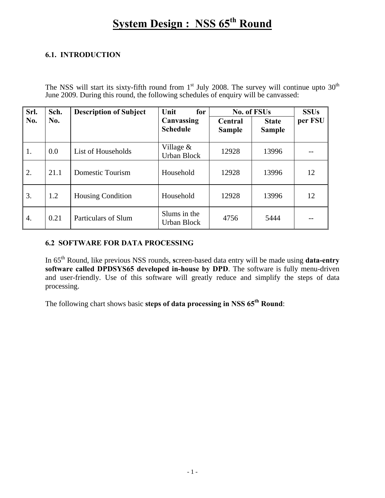# **System Design : NSS 65th Round**

## **6.1. INTRODUCTION**

The NSS will start its sixty-fifth round from  $1<sup>st</sup>$  July 2008. The survey will continue upto  $30<sup>th</sup>$ June 2009. During this round, the following schedules of enquiry will be canvassed:

| Srl. | Sch. | <b>Description of Subject</b> | for<br>Unit                       |                          | <b>No. of FSUs</b>            | <b>SSUs</b> |
|------|------|-------------------------------|-----------------------------------|--------------------------|-------------------------------|-------------|
| No.  | No.  |                               | Canvassing<br><b>Schedule</b>     | Central<br><b>Sample</b> | <b>State</b><br><b>Sample</b> | per FSU     |
| 1.   | 0.0  | List of Households            | Village $&$<br><b>Urban Block</b> | 12928                    | 13996                         |             |
| 2.   | 21.1 | Domestic Tourism              | Household                         | 12928                    | 13996                         | 12          |
| 3.   | 1.2  | <b>Housing Condition</b>      | Household                         | 12928                    | 13996                         | 12          |
| 4.   | 0.21 | Particulars of Slum           | Slums in the<br>Urban Block       | 4756                     | 5444                          |             |

## **6.2 SOFTWARE FOR DATA PROCESSING**

In 65th Round, like previous NSS rounds, **s**creen-based data entry will be made using **data-entry software called DPDSYS65 developed in-house by DPD**. The software is fully menu-driven and user-friendly. Use of this software will greatly reduce and simplify the steps of data processing.

The following chart shows basic **steps of data processing in NSS 65th Round**: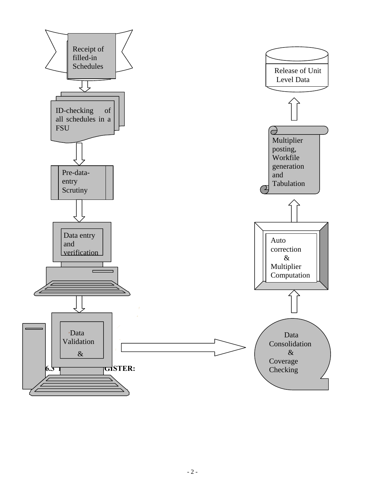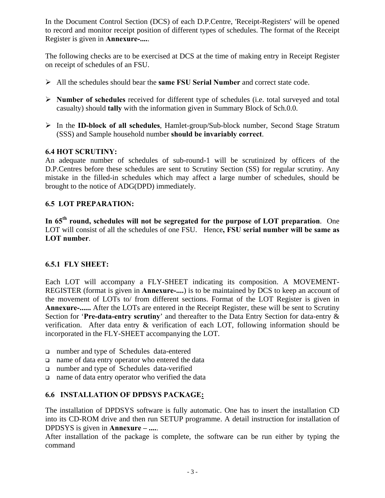In the Document Control Section (DCS) of each D.P.Centre, 'Receipt-Registers' will be opened to record and monitor receipt position of different types of schedules. The format of the Receipt Register is given in **Annexure-....**.

The following checks are to be exercised at DCS at the time of making entry in Receipt Register on receipt of schedules of an FSU.

- ¾ All the schedules should bear the **same FSU Serial Number** and correct state code.
- ¾ **Number of schedules** received for different type of schedules (i.e. total surveyed and total casualty) should **tally** with the information given in Summary Block of Sch.0.0.
- ¾ In the **ID-block of all schedules**, Hamlet-group/Sub-block number, Second Stage Stratum (SSS) and Sample household number **should be invariably correct**.

## **6.4 HOT SCRUTINY:**

An adequate number of schedules of sub-round-1 will be scrutinized by officers of the D.P.Centres before these schedules are sent to Scrutiny Section (SS) for regular scrutiny. Any mistake in the filled-in schedules which may affect a large number of schedules, should be brought to the notice of ADG(DPD) immediately.

## **6.5 LOT PREPARATION:**

**In 65th round, schedules will not be segregated for the purpose of LOT preparation**. One LOT will consist of all the schedules of one FSU. Hence**, FSU serial number will be same as LOT number**.

#### **6.5.1 FLY SHEET:**

Each LOT will accompany a FLY-SHEET indicating its composition. A MOVEMENT-REGISTER (format is given in **Annexure-....**) is to be maintained by DCS to keep an account of the movement of LOTs to/ from different sections. Format of the LOT Register is given in **Annexure-......** After the LOTs are entered in the Receipt Register, these will be sent to Scrutiny Section for '**Pre-data-entry scrutiny**' and thereafter to the Data Entry Section for data-entry & verification. After data entry & verification of each LOT, following information should be incorporated in the FLY-SHEET accompanying the LOT.

- number and type of Schedules data-entered
- name of data entry operator who entered the data
- number and type of Schedules data-verified
- $\Box$  name of data entry operator who verified the data

## **6.6 INSTALLATION OF DPDSYS PACKAGE:**

The installation of DPDSYS software is fully automatic. One has to insert the installation CD into its CD-ROM drive and then run SETUP programme. A detail instruction for installation of DPDSYS is given in **Annexure – ....**.

After installation of the package is complete, the software can be run either by typing the command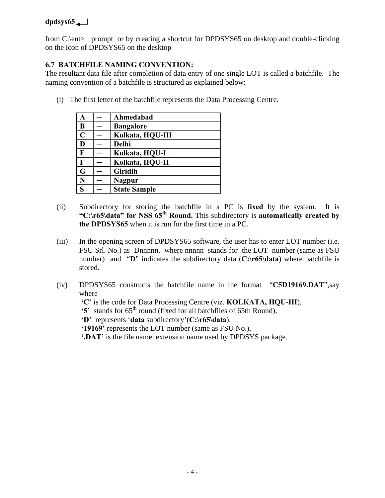## **dpdsys65**

from C:\ent> prompt or by creating a shortcut for DPDSYS65 on desktop and double-clicking on the icon of DPDSYS65 on the desktop.

## **6.7 BATCHFILE NAMING CONVENTION:**

The resultant data file after completion of data entry of one single LOT is called a batchfile. The naming convention of a batchfile is structured as explained below:

(i) The first letter of the batchfile represents the Data Processing Centre.

|             | Ahmedabad           |
|-------------|---------------------|
| B           | <b>Bangalore</b>    |
| $\mathbf C$ | Kolkata, HQU-III    |
| D           | Delhi               |
| E           | Kolkata, HQU-I      |
| F           | Kolkata, HQU-II     |
| G           | Giridih             |
| N           | <b>Nagpur</b>       |
|             | <b>State Sample</b> |

- (ii) Subdirectory for storing the batchfile in a PC is **fixed** by the system. It is **"C:\r65\data" for NSS 65th Round.** This subdirectory is **automatically created by the DPDSYS65** when it is run for the first time in a PC.
- (iii) In the opening screen of DPDSYS65 software, the user has to enter LOT number (i.e. FSU Srl. No.) as Dnnnnn, where nnnnn stands for the LOT number (same as FSU number) and "**D**" indicates the subdirectory data (**C:\r65\data**) where batchfile is stored.
- (iv) DPDSYS65 constructs the batchfile name in the format "**C5D19169.DAT**",say where
	- **'C'** is the code for Data Processing Centre (viz. **KOLKATA, HQU-III**),
	- **'5'** stands for 65th round (fixed for all batchfiles of 65th Round),
	- **'D'** represents '**data** subdirectory'(**C:\r65\data**),
	- **'19169'** represents the LOT number (same as FSU No.),
	- **'.DAT'** is the file name extension name used by DPDSYS package.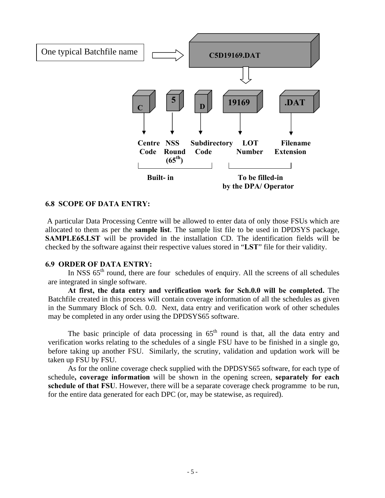

#### **6.8 SCOPE OF DATA ENTRY:**

A particular Data Processing Centre will be allowed to enter data of only those FSUs which are allocated to them as per the **sample list**. The sample list file to be used in DPDSYS package, **SAMPLE65.LST** will be provided in the installation CD. The identification fields will be checked by the software against their respective values stored in "**LST**" file for their validity.

#### **6.9 ORDER OF DATA ENTRY:**

In NSS 65<sup>th</sup> round, there are four schedules of enquiry. All the screens of all schedules are integrated in single software.

**At first, the data entry and verification work for Sch.0.0 will be completed.** The Batchfile created in this process will contain coverage information of all the schedules as given in the Summary Block of Sch. 0.0. Next, data entry and verification work of other schedules may be completed in any order using the DPDSYS65 software.

The basic principle of data processing in  $65<sup>th</sup>$  round is that, all the data entry and verification works relating to the schedules of a single FSU have to be finished in a single go, before taking up another FSU. Similarly, the scrutiny, validation and updation work will be taken up FSU by FSU.

As for the online coverage check supplied with the DPDSYS65 software, for each type of schedule**, coverage information** will be shown in the opening screen, **separately for each schedule of that FSU**. However, there will be a separate coverage check programme to be run, for the entire data generated for each DPC (or, may be statewise, as required).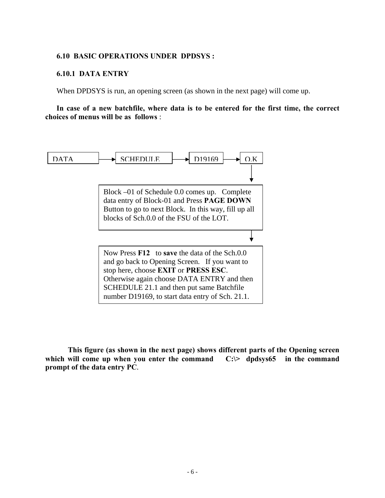#### **6.10 BASIC OPERATIONS UNDER DPDSYS :**

#### **6.10.1 DATA ENTRY**

When DPDSYS is run, an opening screen (as shown in the next page) will come up.

**In case of a new batchfile, where data is to be entered for the first time, the correct choices of menus will be as follows** :



**This figure (as shown in the next page) shows different parts of the Opening screen**  which will come up when you enter the command  $C:\rangle$  dpdsys65 in the command **prompt of the data entry PC**.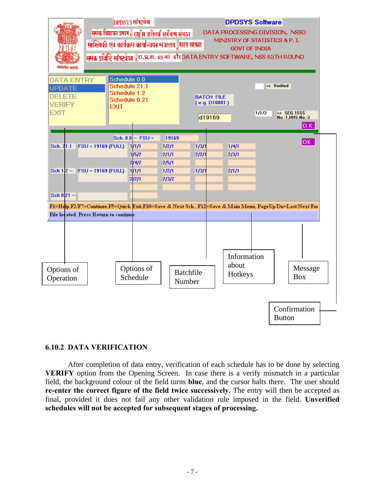

#### **6.10.2 DATA VERIFICATION**

After completion of data entry, verification of each schedule has to be done by selecting **VERIFY** option from the Opening Screen. In case there is a verify mismatch in a particular field, the background colour of the field turns **blue**, and the cursor halts there. The user should **re-enter the correct figure of the field twice successively.** The entry will then be accepted as final, provided it does not fail any other validation rule imposed in the field. **Unverified schedules will not be accepted for subsequent stages of processing.**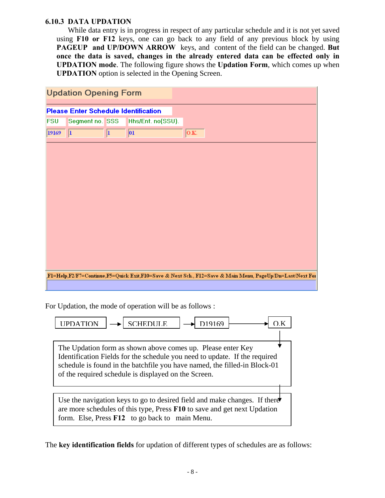## **6.10.3 DATA UPDATION**

While data entry is in progress in respect of any particular schedule and it is not yet saved using **F10 or F12** keys, one can go back to any field of any previous block by using **PAGEUP and UP/DOWN ARROW** keys, and content of the field can be changed. **But once the data is saved, changes in the already entered data can be effected only in UPDATION mode**. The following figure shows the **Updation Form**, which comes up when **UPDATION** option is selected in the Opening Screen.

|            | <b>Updation Opening Form</b>                |          |                   |                                                                                                          |
|------------|---------------------------------------------|----------|-------------------|----------------------------------------------------------------------------------------------------------|
|            | <b>Please Enter Schedule Identification</b> |          |                   |                                                                                                          |
| <b>FSU</b> | Segment no. SSS                             |          | Hhs/Ent. no(SSU). |                                                                                                          |
| 19169      | $\vert \vert$                               | $\bf{l}$ | 01                | O.K.                                                                                                     |
|            |                                             |          |                   |                                                                                                          |
|            |                                             |          |                   |                                                                                                          |
|            |                                             |          |                   |                                                                                                          |
|            |                                             |          |                   |                                                                                                          |
|            |                                             |          |                   |                                                                                                          |
|            |                                             |          |                   |                                                                                                          |
|            |                                             |          |                   |                                                                                                          |
|            |                                             |          |                   |                                                                                                          |
|            |                                             |          |                   |                                                                                                          |
|            |                                             |          |                   |                                                                                                          |
|            |                                             |          |                   | F1=Help,F2/F7=Continue,F5=Quick Exit,F10=Save & Next Sch., F12=Save & Main Menu, PageUp/Dn=Last/Next For |
|            |                                             |          |                   |                                                                                                          |

For Updation, the mode of operation will be as follows :



The **key identification fields** for updation of different types of schedules are as follows: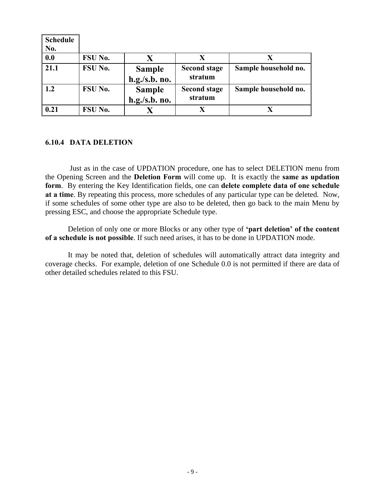| <b>Schedule</b> |         |                 |                     |                      |
|-----------------|---------|-----------------|---------------------|----------------------|
| No.             |         |                 |                     |                      |
| 0.0             | FSU No. | X               | X                   | X                    |
| 21.1            | FSU No. | <b>Sample</b>   | <b>Second stage</b> | Sample household no. |
|                 |         | $h.g./s.b.$ no. | stratum             |                      |
| 1.2             | FSU No. | <b>Sample</b>   | <b>Second stage</b> | Sample household no. |
|                 |         | $h.g./s.b.$ no. | stratum             |                      |
| 0.21            | FSU No. |                 |                     |                      |

## **6.10.4 DATA DELETION**

Just as in the case of UPDATION procedure, one has to select DELETION menu from the Opening Screen and the **Deletion Form** will come up. It is exactly the **same as updation form**. By entering the Key Identification fields, one can **delete complete data of one schedule at a time**. By repeating this process, more schedules of any particular type can be deleted. Now, if some schedules of some other type are also to be deleted, then go back to the main Menu by pressing ESC, and choose the appropriate Schedule type.

 Deletion of only one or more Blocks or any other type of **'part deletion' of the content of a schedule is not possible**. If such need arises, it has to be done in UPDATION mode.

 It may be noted that, deletion of schedules will automatically attract data integrity and coverage checks. For example, deletion of one Schedule 0.0 is not permitted if there are data of other detailed schedules related to this FSU.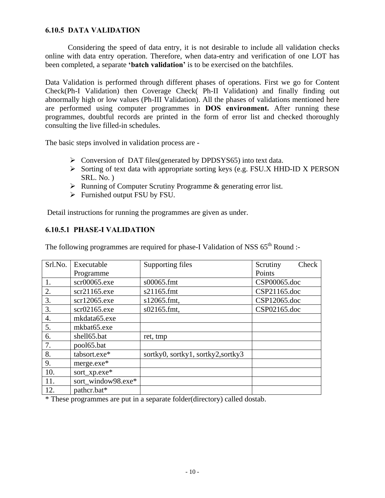## **6.10.5 DATA VALIDATION**

Considering the speed of data entry, it is not desirable to include all validation checks online with data entry operation. Therefore, when data-entry and verification of one LOT has been completed, a separate **'batch validation'** is to be exercised on the batchfiles.

Data Validation is performed through different phases of operations. First we go for Content Check(Ph-I Validation) then Coverage Check( Ph-II Validation) and finally finding out abnormally high or low values (Ph-III Validation). All the phases of validations mentioned here are performed using computer programmes in **DOS environment.** After running these programmes, doubtful records are printed in the form of error list and checked thoroughly consulting the live filled-in schedules.

The basic steps involved in validation process are -

- ¾ Conversion of DAT files(generated by DPDSYS65) into text data.
- $\triangleright$  Sorting of text data with appropriate sorting keys (e.g. FSU.X HHD-ID X PERSON SRL. No. )
- ¾ Running of Computer Scrutiny Programme & generating error list.
- $\triangleright$  Furnished output FSU by FSU.

Detail instructions for running the programmes are given as under.

#### **6.10.5.1 PHASE-I VALIDATION**

The following programmes are required for phase-I Validation of NSS  $65<sup>th</sup>$  Round :-

| Srl.No.          | Executable         | Supporting files                   | Check<br>Scrutiny |
|------------------|--------------------|------------------------------------|-------------------|
|                  | Programme          |                                    | Points            |
| 1.               | scr00065.exe       | $s00065$ .fmt                      | CSP00065.doc      |
| 2.               | $scr21165$ .exe    | s21165.fmt                         | CSP21165.doc      |
| 3.               | $scr12065$ .exe    | s12065.fmt,                        | CSP12065.doc      |
| 3.               | $scr02165$ .exe    | s02165.fmt,                        | CSP02165.doc      |
| $\overline{4}$ . | mkdata65.exe       |                                    |                   |
| 5.               | mkbat65.exe        |                                    |                   |
| 6.               | shell65.bat        | ret, tmp                           |                   |
| 7.               | pool65.bat         |                                    |                   |
| 8.               | tabsort.exe*       | sortky0, sortky1, sortky2, sortky3 |                   |
| 9.               | merge.exe*         |                                    |                   |
| 10.              | sort_xp.exe*       |                                    |                   |
| 11.              | sort window98.exe* |                                    |                   |
| 12.              | pathcr.bat*        |                                    |                   |

\* These programmes are put in a separate folder(directory) called dostab.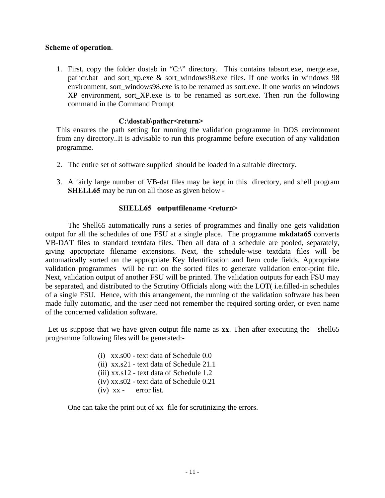#### **Scheme of operation**.

1. First, copy the folder dostab in "C:\" directory. This contains tabsort.exe, merge.exe, pathcr.bat and sort xp.exe & sort windows98.exe files. If one works in windows 98 environment, sort\_windows98.exe is to be renamed as sort.exe. If one works on windows XP environment, sort\_XP.exe is to be renamed as sort.exe. Then run the following command in the Command Prompt

#### **C:\dostab\pathcr<return>**

This ensures the path setting for running the validation programme in DOS environment from any directory..It is advisable to run this programme before execution of any validation programme.

- 2. The entire set of software supplied should be loaded in a suitable directory.
- 3. A fairly large number of VB-dat files may be kept in this directory, and shell program **SHELL65** may be run on all those as given below -

#### **SHELL65 outputfilename <return>**

The Shell65 automatically runs a series of programmes and finally one gets validation output for all the schedules of one FSU at a single place. The programme **mkdata65** converts VB-DAT files to standard textdata files. Then all data of a schedule are pooled, separately, giving appropriate filename extensions. Next, the schedule-wise textdata files will be automatically sorted on the appropriate Key Identification and Item code fields. Appropriate validation programmes will be run on the sorted files to generate validation error-print file. Next, validation output of another FSU will be printed. The validation outputs for each FSU may be separated, and distributed to the Scrutiny Officials along with the LOT( i.e.filled-in schedules of a single FSU. Hence, with this arrangement, the running of the validation software has been made fully automatic, and the user need not remember the required sorting order, or even name of the concerned validation software.

Let us suppose that we have given output file name as **xx**. Then after executing the shell65 programme following files will be generated:-

> (i) xx.s00 - text data of Schedule 0.0 (ii) xx.s21 - text data of Schedule 21.1 (iii) xx.s12 - text data of Schedule 1.2 (iv) xx.s02 - text data of Schedule 0.21 (iv) xx - error list.

One can take the print out of xx file for scrutinizing the errors.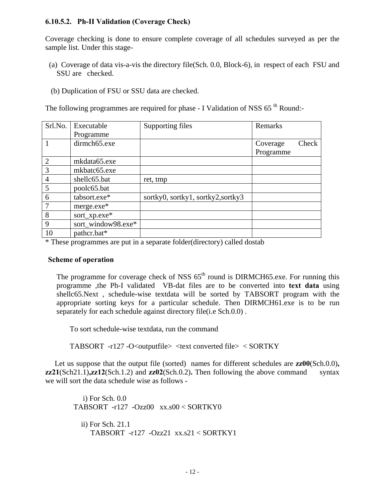## **6.10.5.2. Ph-II Validation (Coverage Check)**

Coverage checking is done to ensure complete coverage of all schedules surveyed as per the sample list. Under this stage-

- (a) Coverage of data vis-a-vis the directory file(Sch. 0.0, Block-6), in respect of each FSU and SSU are checked.
- (b) Duplication of FSU or SSU data are checked.

The following programmes are required for phase - I Validation of NSS 65<sup>th</sup> Round:-

| Srl.No.        | Executable         | Supporting files                   | Remarks   |       |
|----------------|--------------------|------------------------------------|-----------|-------|
|                | Programme          |                                    |           |       |
|                | dirmch65.exe       |                                    | Coverage  | Check |
|                |                    |                                    | Programme |       |
| $\overline{2}$ | mkdata65.exe       |                                    |           |       |
| 3              | mkbatc65.exe       |                                    |           |       |
| $\overline{4}$ | shellc65.bat       | ret, tmp                           |           |       |
| 5              | poolc65.bat        |                                    |           |       |
| 6              | tabsort.exe*       | sortky0, sortky1, sortky2, sortky3 |           |       |
| 7              | merge.exe*         |                                    |           |       |
| 8              | sort_xp.exe*       |                                    |           |       |
| 9              | sort_window98.exe* |                                    |           |       |
| 10             | pathcr.bat*        |                                    |           |       |

\* These programmes are put in a separate folder(directory) called dostab

#### **Scheme of operation**

The programme for coverage check of NSS  $65<sup>th</sup>$  round is DIRMCH65.exe. For running this programme ,the Ph-I validated VB-dat files are to be converted into **text data** using shellc65.Next , schedule-wise textdata will be sorted by TABSORT program with the appropriate sorting keys for a particular schedule. Then DIRMCH61.exe is to be run separately for each schedule against directory file(i.e Sch.0.0) .

To sort schedule-wise textdata, run the command

TABSORT -r127 -O<outputfile> <text converted file> < SORTKY

Let us suppose that the output file (sorted) names for different schedules are  $zz00(Sch.0.0)$ , **zz21**(Sch21.1)**,zz12**(Sch.1.2) and **zz02**(Sch.0.2)**.** Then following the above command syntax we will sort the data schedule wise as follows -

 i) For Sch. 0.0 TABSORT -r127 -Ozz00 xx.s00 < SORTKY0 ii) For Sch. 21.1 TABSORT -r127 -Ozz21 xx.s21 < SORTKY1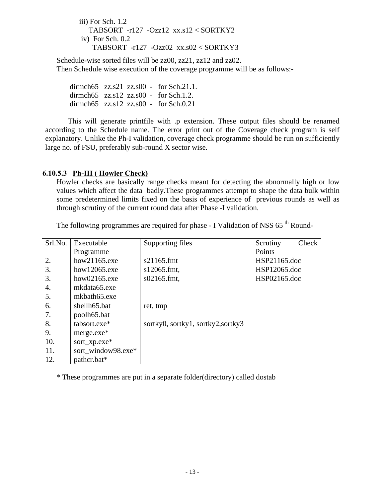iii) For Sch. 1.2 TABSORT -r127 -Ozz12 xx.s12 < SORTKY2 iv) For Sch. 0.2 TABSORT -r127 -Ozz02 xx.s02 < SORTKY3

Schedule-wise sorted files will be zz00, zz21, zz12 and zz02. Then Schedule wise execution of the coverage programme will be as follows:-

 dirmch65 zz.s21 zz.s00 - for Sch.21.1. dirmch65 zz.s12 zz.s00 - for Sch.1.2. dirmch65 zz.s12 zz.s00 - for Sch.0.21

This will generate printfile with .p extension. These output files should be renamed according to the Schedule name. The error print out of the Coverage check program is self explanatory. Unlike the Ph-I validation, coverage check programme should be run on sufficiently large no. of FSU, preferably sub-round X sector wise.

#### **6.10.5.3 Ph-III ( Howler Check)**

Howler checks are basically range checks meant for detecting the abnormally high or low values which affect the data badly.These programmes attempt to shape the data bulk within some predetermined limits fixed on the basis of experience of previous rounds as well as through scrutiny of the current round data after Phase -I validation.

| The following programmes are required for phase - I Validation of NSS 65 <sup>th</sup> Round- |  |  |
|-----------------------------------------------------------------------------------------------|--|--|
|-----------------------------------------------------------------------------------------------|--|--|

| Srl.No. | Executable         | Supporting files                   | Check<br>Scrutiny |
|---------|--------------------|------------------------------------|-------------------|
|         | Programme          |                                    | Points            |
| 2.      | how21165.exe       | s21165.fmt                         | HSP21165.doc      |
| 3.      | how12065.exe       | s12065.fmt,                        | HSP12065.doc      |
| 3.      | how02165.exe       | s02165.fmt,                        | HSP02165.doc      |
| 4.      | mkdata65.exe       |                                    |                   |
| 5.      | mkbath65.exe       |                                    |                   |
| 6.      | shellh65.bat       | ret, tmp                           |                   |
| 7.      | poolh65.bat        |                                    |                   |
| 8.      | tabsort.exe*       | sortky0, sortky1, sortky2, sortky3 |                   |
| 9.      | merge.exe*         |                                    |                   |
| 10.     | sort_xp.exe*       |                                    |                   |
| 11.     | sort_window98.exe* |                                    |                   |
| 12.     | pathcr.bat*        |                                    |                   |

\* These programmes are put in a separate folder(directory) called dostab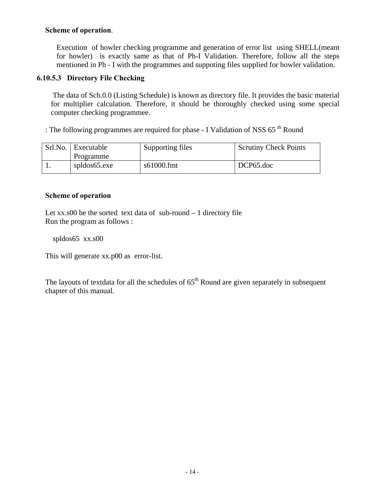## **Scheme of operation**.

Execution of howler checking programme and generation of error list using SHELL(meant for howler) is exactly same as that of Ph-I Validation. Therefore, follow all the steps mentioned in Ph - I with the programmes and suppoting files supplied for howler validation.

#### **6.10.5.3 Directory File Checking**

The data of Sch.0.0 (Listing Schedule) is known as directory file. It provides the basic material for multiplier calculation. Therefore, it should be thoroughly checked using some special computer checking programmee.

: The following programmes are required for phase - I Validation of NSS 65<sup>th</sup> Round

| Srl.No. Executable | Supporting files | <b>Scrutiny Check Points</b> |  |
|--------------------|------------------|------------------------------|--|
| Programme          |                  |                              |  |
| spldos65.exe       | s61000.fmt       | DCP65.doc                    |  |

#### **Scheme of operation**

Let  $xx. s00$  be the sorted text data of sub-round  $-1$  directory file Run the program as follows :

spldos65 xx.s00

This will generate xx.p00 as error-list.

The layouts of textdata for all the schedules of  $65<sup>th</sup>$  Round are given separately in subsequent chapter of this manual.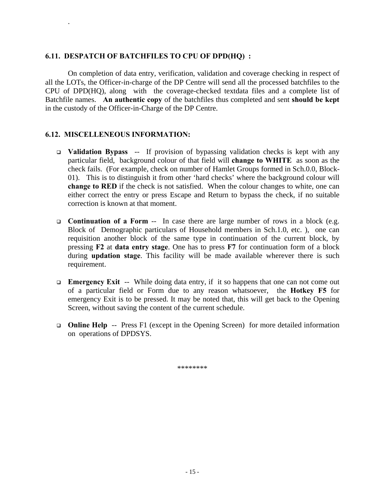## **6.11. DESPATCH OF BATCHFILES TO CPU OF DPD(HQ) :**

On completion of data entry, verification, validation and coverage checking in respect of all the LOTs, the Officer-in-charge of the DP Centre will send all the processed batchfiles to the CPU of DPD(HQ), along with the coverage-checked textdata files and a complete list of Batchfile names. **An authentic copy** of the batchfiles thus completed and sent **should be kept** in the custody of the Officer-in-Charge of the DP Centre.

## **6.12. MISCELLENEOUS INFORMATION:**

.

- **Validation Bypass** -- If provision of bypassing validation checks is kept with any particular field, background colour of that field will **change to WHITE** as soon as the check fails. (For example, check on number of Hamlet Groups formed in Sch.0.0, Block-01). This is to distinguish it from other 'hard checks' where the background colour will **change to RED** if the check is not satisfied. When the colour changes to white, one can either correct the entry or press Escape and Return to bypass the check, if no suitable correction is known at that moment.
- **Continuation of a Form** -- In case there are large number of rows in a block (e.g. Block of Demographic particulars of Household members in Sch.1.0, etc. ), one can requisition another block of the same type in continuation of the current block, by pressing **F2** at **data entry stage**. One has to press **F7** for continuation form of a block during **updation stage**. This facility will be made available wherever there is such requirement.
- **Emergency Exit** -- While doing data entry, if it so happens that one can not come out of a particular field or Form due to any reason whatsoever, the **Hotkey F5** for emergency Exit is to be pressed. It may be noted that, this will get back to the Opening Screen, without saving the content of the current schedule.
- **Online Help** -- Press F1 (except in the Opening Screen) for more detailed information on operations of DPDSYS.

\*\*\*\*\*\*\*\*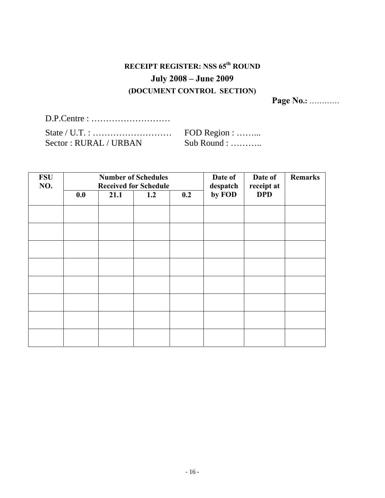# **RECEIPT REGISTER: NSS 65th ROUND July 2008 – June 2009 (DOCUMENT CONTROL SECTION)**

**Page No.:** …………

D.P.Centre : ………………………

|                        | FOD Region :        |
|------------------------|---------------------|
| Sector : RURAL / URBAN | Sub Round : $\dots$ |

| <b>FSU</b><br>NO. |     |      | <b>Number of Schedules</b><br><b>Received for Schedule</b> |     | Date of<br>despatch | Date of<br>receipt at | <b>Remarks</b> |
|-------------------|-----|------|------------------------------------------------------------|-----|---------------------|-----------------------|----------------|
|                   | 0.0 | 21.1 | 1.2                                                        | 0.2 | by FOD              | <b>DPD</b>            |                |
|                   |     |      |                                                            |     |                     |                       |                |
|                   |     |      |                                                            |     |                     |                       |                |
|                   |     |      |                                                            |     |                     |                       |                |
|                   |     |      |                                                            |     |                     |                       |                |
|                   |     |      |                                                            |     |                     |                       |                |
|                   |     |      |                                                            |     |                     |                       |                |
|                   |     |      |                                                            |     |                     |                       |                |
|                   |     |      |                                                            |     |                     |                       |                |
|                   |     |      |                                                            |     |                     |                       |                |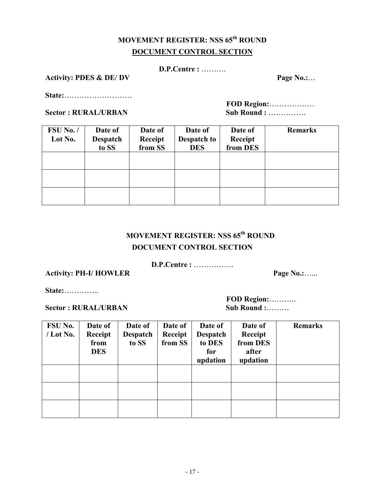## **MOVEMENT REGISTER: NSS 65th ROUND DOCUMENT CONTROL SECTION**

**D.P.Centre :** ……….

Activity: PDES & DE/ DV Page No.:...

**State:**………………………

**FOD Region:**……………… **Sector : RURAL/URBAN** Sub Round : ................

| FSU No./<br>Lot No. | Date of<br>Despatch<br>to SS | Date of<br>Receipt<br>from SS | Date of<br><b>Despatch to</b><br><b>DES</b> | Date of<br>Receipt<br>from DES | <b>Remarks</b> |
|---------------------|------------------------------|-------------------------------|---------------------------------------------|--------------------------------|----------------|
|                     |                              |                               |                                             |                                |                |
|                     |                              |                               |                                             |                                |                |
|                     |                              |                               |                                             |                                |                |

## **MOVEMENT REGISTER: NSS 65th ROUND DOCUMENT CONTROL SECTION**

**D.P.Centre :** …………….

Activity: PH-I/ HOWLER Page No.:......

**State:**…………..

**Sector : RURAL/URBAN** Sub Round :………

**FOD Region:**………..

| FSU No.<br>/ Lot No. | Date of<br>Receipt<br>from<br><b>DES</b> | Date of<br><b>Despatch</b><br>to SS | Date of<br>Receipt<br>from SS | Date of<br><b>Despatch</b><br>to DES<br>for<br>updation | Date of<br>Receipt<br>from DES<br>after<br>updation | <b>Remarks</b> |
|----------------------|------------------------------------------|-------------------------------------|-------------------------------|---------------------------------------------------------|-----------------------------------------------------|----------------|
|                      |                                          |                                     |                               |                                                         |                                                     |                |
|                      |                                          |                                     |                               |                                                         |                                                     |                |
|                      |                                          |                                     |                               |                                                         |                                                     |                |